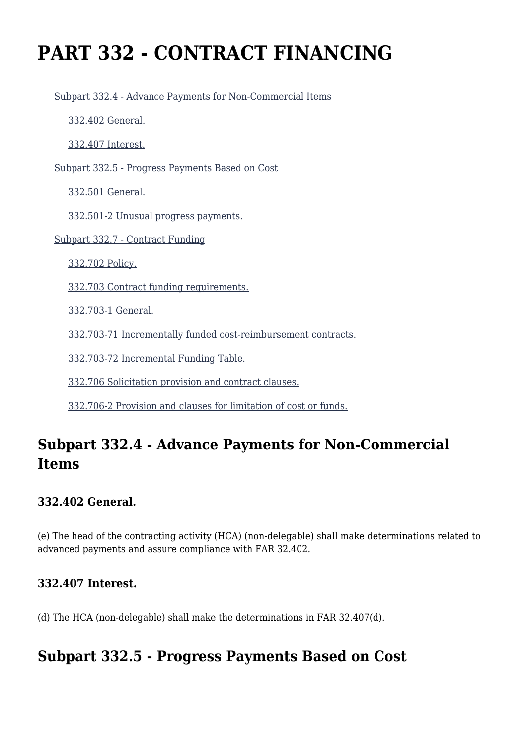# **PART 332 - CONTRACT FINANCING**

[Subpart 332.4 - Advance Payments for Non-Commercial Items](https://origin-www.acquisition.gov/%5Brp:link:hhsar-part-332%5D#Subpart_332_4_T48_4015281)

[332.402 General.](https://origin-www.acquisition.gov/%5Brp:link:hhsar-part-332%5D#Section_332_402_T48_401528111)

[332.407 Interest.](https://origin-www.acquisition.gov/%5Brp:link:hhsar-part-332%5D#Section_332_407_T48_401528112)

[Subpart 332.5 - Progress Payments Based on Cost](https://origin-www.acquisition.gov/%5Brp:link:hhsar-part-332%5D#Subpart_332_5_T48_4015282)

[332.501 General.](https://origin-www.acquisition.gov/%5Brp:link:hhsar-part-332%5D#Section_332_501_T48_401528211)

[332.501-2 Unusual progress payments.](https://origin-www.acquisition.gov/%5Brp:link:hhsar-part-332%5D#Section_332_501_2_T48_401528212)

[Subpart 332.7 - Contract Funding](https://origin-www.acquisition.gov/%5Brp:link:hhsar-part-332%5D#Subpart_332_7_T48_4015283)

[332.702 Policy.](https://origin-www.acquisition.gov/%5Brp:link:hhsar-part-332%5D#Section_332_702_T48_401528311)

[332.703 Contract funding requirements.](https://origin-www.acquisition.gov/%5Brp:link:hhsar-part-332%5D#Section_332_703_T48_401528312)

[332.703-1 General.](https://origin-www.acquisition.gov/%5Brp:link:hhsar-part-332%5D#Section_332_703_1_T48_401528313)

[332.703-71 Incrementally funded cost-reimbursement contracts.](https://origin-www.acquisition.gov/%5Brp:link:hhsar-part-332%5D#Section_332_703_71_T48_401528314)

[332.703-72 Incremental Funding Table.](https://origin-www.acquisition.gov/%5Brp:link:hhsar-part-332%5D#Section_332_703_72_T48_401528315)

[332.706 Solicitation provision and contract clauses.](https://origin-www.acquisition.gov/%5Brp:link:hhsar-part-332%5D#Section_332_706_T48_401528316)

[332.706-2 Provision and clauses for limitation of cost or funds.](https://origin-www.acquisition.gov/%5Brp:link:hhsar-part-332%5D#Section_332_706_2_T48_401528317)

# **Subpart 332.4 - Advance Payments for Non-Commercial Items**

#### **332.402 General.**

(e) The head of the contracting activity (HCA) (non-delegable) shall make determinations related to advanced payments and assure compliance with FAR 32.402.

## **332.407 Interest.**

(d) The HCA (non-delegable) shall make the determinations in FAR 32.407(d).

# **Subpart 332.5 - Progress Payments Based on Cost**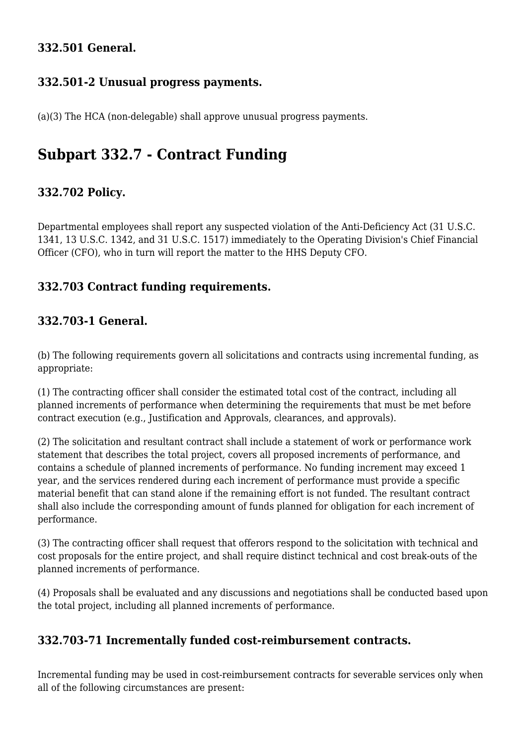#### **332.501 General.**

#### **332.501-2 Unusual progress payments.**

(a)(3) The HCA (non-delegable) shall approve unusual progress payments.

# **Subpart 332.7 - Contract Funding**

#### **332.702 Policy.**

Departmental employees shall report any suspected violation of the Anti-Deficiency Act (31 U.S.C. 1341, 13 U.S.C. 1342, and 31 U.S.C. 1517) immediately to the Operating Division's Chief Financial Officer (CFO), who in turn will report the matter to the HHS Deputy CFO.

#### **332.703 Contract funding requirements.**

#### **332.703-1 General.**

(b) The following requirements govern all solicitations and contracts using incremental funding, as appropriate:

(1) The contracting officer shall consider the estimated total cost of the contract, including all planned increments of performance when determining the requirements that must be met before contract execution (e.g., Justification and Approvals, clearances, and approvals).

(2) The solicitation and resultant contract shall include a statement of work or performance work statement that describes the total project, covers all proposed increments of performance, and contains a schedule of planned increments of performance. No funding increment may exceed 1 year, and the services rendered during each increment of performance must provide a specific material benefit that can stand alone if the remaining effort is not funded. The resultant contract shall also include the corresponding amount of funds planned for obligation for each increment of performance.

(3) The contracting officer shall request that offerors respond to the solicitation with technical and cost proposals for the entire project, and shall require distinct technical and cost break-outs of the planned increments of performance.

(4) Proposals shall be evaluated and any discussions and negotiations shall be conducted based upon the total project, including all planned increments of performance.

#### **332.703-71 Incrementally funded cost-reimbursement contracts.**

Incremental funding may be used in cost-reimbursement contracts for severable services only when all of the following circumstances are present: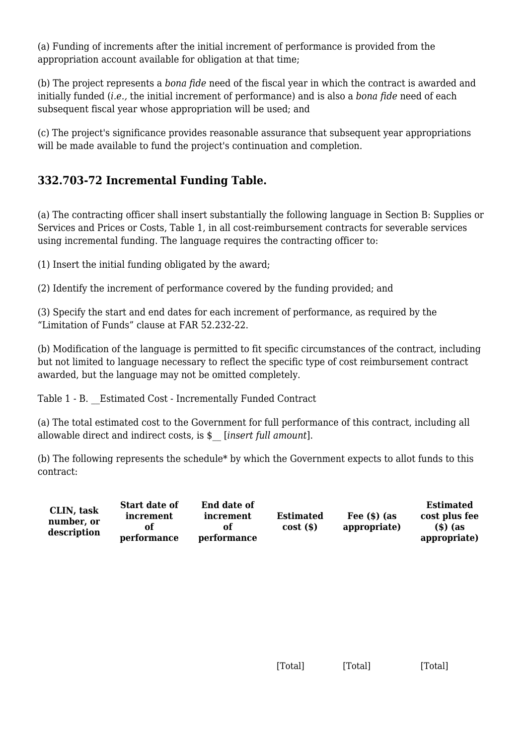(a) Funding of increments after the initial increment of performance is provided from the appropriation account available for obligation at that time;

(b) The project represents a *bona fide* need of the fiscal year in which the contract is awarded and initially funded (*i.e.,* the initial increment of performance) and is also a *bona fide* need of each subsequent fiscal year whose appropriation will be used; and

(c) The project's significance provides reasonable assurance that subsequent year appropriations will be made available to fund the project's continuation and completion.

### **332.703-72 Incremental Funding Table.**

(a) The contracting officer shall insert substantially the following language in Section B: Supplies or Services and Prices or Costs, Table 1, in all cost-reimbursement contracts for severable services using incremental funding. The language requires the contracting officer to:

(1) Insert the initial funding obligated by the award;

(2) Identify the increment of performance covered by the funding provided; and

(3) Specify the start and end dates for each increment of performance, as required by the "Limitation of Funds" clause at FAR 52.232-22.

(b) Modification of the language is permitted to fit specific circumstances of the contract, including but not limited to language necessary to reflect the specific type of cost reimbursement contract awarded, but the language may not be omitted completely.

Table 1 - B. \_\_Estimated Cost - Incrementally Funded Contract

(a) The total estimated cost to the Government for full performance of this contract, including all allowable direct and indirect costs, is \$\_\_ [*insert full amount*].

(b) The following represents the schedule\* by which the Government expects to allot funds to this contract:

| CLIN, task<br>number, or<br>description | Start date of<br>increment | <b>End date of</b><br>increment | <b>Estimated</b> | Fee $(s)$ (as | <b>Estimated</b><br>cost plus fee |
|-----------------------------------------|----------------------------|---------------------------------|------------------|---------------|-----------------------------------|
|                                         | performance                | of<br>performance               | $cost($ \$)      | appropriate)  | $(s)$ (as<br>appropriate)         |

[Total] [Total] [Total]